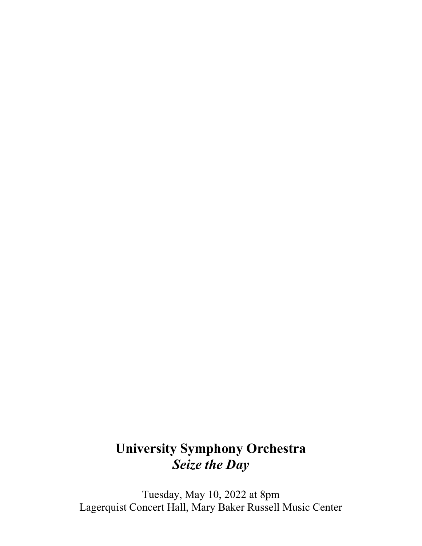# **University Symphony Orchestra** *Seize the Day*

Tuesday, May 10, 2022 at 8pm Lagerquist Concert Hall, Mary Baker Russell Music Center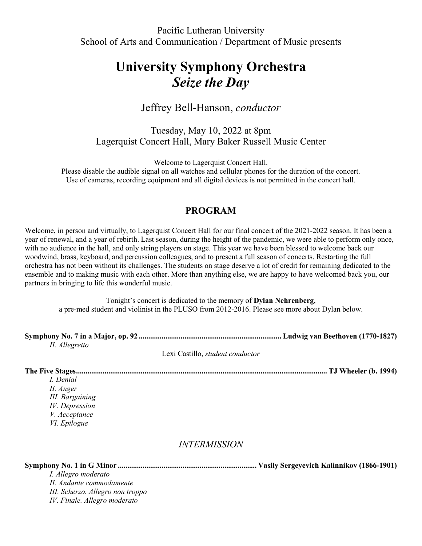Pacific Lutheran University School of Arts and Communication / Department of Music presents

# **University Symphony Orchestra** *Seize the Day*

## Jeffrey Bell-Hanson, *conductor*

Tuesday, May 10, 2022 at 8pm Lagerquist Concert Hall, Mary Baker Russell Music Center

Welcome to Lagerquist Concert Hall.

Please disable the audible signal on all watches and cellular phones for the duration of the concert. Use of cameras, recording equipment and all digital devices is not permitted in the concert hall.

### **PROGRAM**

Welcome, in person and virtually, to Lagerquist Concert Hall for our final concert of the 2021-2022 season. It has been a year of renewal, and a year of rebirth. Last season, during the height of the pandemic, we were able to perform only once, with no audience in the hall, and only string players on stage. This year we have been blessed to welcome back our woodwind, brass, keyboard, and percussion colleagues, and to present a full season of concerts. Restarting the full orchestra has not been without its challenges. The students on stage deserve a lot of credit for remaining dedicated to the ensemble and to making music with each other. More than anything else, we are happy to have welcomed back you, our partners in bringing to life this wonderful music.

Tonight's concert is dedicated to the memory of **Dylan Nehrenberg**, a pre-med student and violinist in the PLUSO from 2012-2016. Please see more about Dylan below.

| II. Allegretto |  |
|----------------|--|

Lexi Castillo, *student conductor*

**The Five Stages.................................................................................................................................... TJ Wheeler (b. 1994)**

*I. Denial II. Anger III. Bargaining IV. Depression V. Acceptance VI. Epilogue*

### *INTERMISSION*

**Symphony No. 1 in G Minor ......................................................................... Vasily Sergeyevich Kalinnikov (1866-1901)**

*I. Allegro moderato II. Andante commodamente III. Scherzo. Allegro non troppo IV. Finale. Allegro moderato*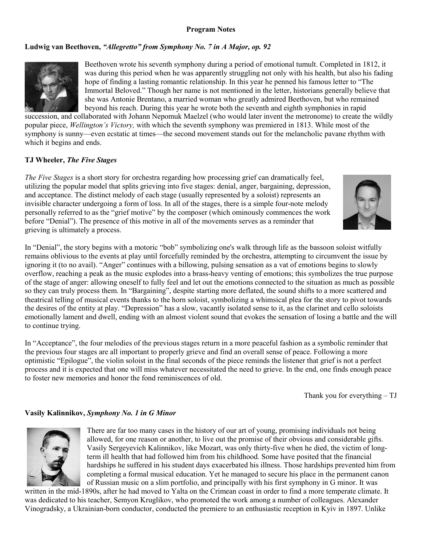#### **Program Notes**

#### **Ludwig van Beethoven,** *"Allegretto" from Symphony No. 7 in A Major, op. 92*



Beethoven wrote his seventh symphony during a period of emotional tumult. Completed in 1812, it was during this period when he was apparently struggling not only with his health, but also his fading hope of finding a lasting romantic relationship. In this year he penned his famous letter to "The Immortal Beloved." Though her name is not mentioned in the letter, historians generally believe that she was Antonie Brentano, a married woman who greatly admired Beethoven, but who remained beyond his reach. During this year he wrote both the seventh and eighth symphonies in rapid

succession, and collaborated with Johann Nepomuk Maelzel (who would later invent the metronome) to create the wildly popular piece, *Wellington's Victory,* with which the seventh symphony was premiered in 1813. While most of the symphony is sunny—even ecstatic at times—the second movement stands out for the melancholic pavane rhythm with which it begins and ends.

#### **TJ Wheeler,** *The Five Stages*

*The Five Stages* is a short story for orchestra regarding how processing grief can dramatically feel, utilizing the popular model that splits grieving into five stages: denial, anger, bargaining, depression, and acceptance. The distinct melody of each stage (usually represented by a soloist) represents an invisible character undergoing a form of loss. In all of the stages, there is a simple four-note melody personally referred to as the "grief motive" by the composer (which ominously commences the work before "Denial"). The presence of this motive in all of the movements serves as a reminder that grieving is ultimately a process.

In "Denial", the story begins with a motoric "bob" symbolizing one's walk through life as the bassoon soloist witfully remains oblivious to the events at play until forcefully reminded by the orchestra, attempting to circumvent the issue by ignoring it (to no avail). "Anger" continues with a billowing, pulsing sensation as a vat of emotions begins to slowly overflow, reaching a peak as the music explodes into a brass-heavy venting of emotions; this symbolizes the true purpose of the stage of anger: allowing oneself to fully feel and let out the emotions connected to the situation as much as possible so they can truly process them. In "Bargaining", despite starting more deflated, the sound shifts to a more scattered and theatrical telling of musical events thanks to the horn soloist, symbolizing a whimsical plea for the story to pivot towards the desires of the entity at play. "Depression" has a slow, vacantly isolated sense to it, as the clarinet and cello soloists emotionally lament and dwell, ending with an almost violent sound that evokes the sensation of losing a battle and the will to continue trying.

In "Acceptance", the four melodies of the previous stages return in a more peaceful fashion as a symbolic reminder that the previous four stages are all important to properly grieve and find an overall sense of peace. Following a more optimistic "Epilogue", the violin soloist in the final seconds of the piece reminds the listener that grief is not a perfect process and it is expected that one will miss whatever necessitated the need to grieve. In the end, one finds enough peace to foster new memories and honor the fond reminiscences of old.

Thank you for everything – TJ

#### **Vasily Kalinnikov,** *Symphony No. 1 in G Minor*



There are far too many cases in the history of our art of young, promising individuals not being allowed, for one reason or another, to live out the promise of their obvious and considerable gifts. Vasily Sergeyevich Kalinnikov, like Mozart, was only thirty-five when he died, the victim of longterm ill health that had followed him from his childhood. Some have posited that the financial hardships he suffered in his student days exacerbated his illness. Those hardships prevented him from completing a formal musical education. Yet he managed to secure his place in the permanent canon of Russian music on a slim portfolio, and principally with his first symphony in G minor. It was

written in the mid-1890s, after he had moved to Yalta on the Crimean coast in order to find a more temperate climate. It was dedicated to his teacher, Semyon Kruglikov, who promoted the work among a number of colleagues. Alexander Vinogradsky, a Ukrainian-born conductor, conducted the premiere to an enthusiastic reception in Kyiv in 1897. Unlike

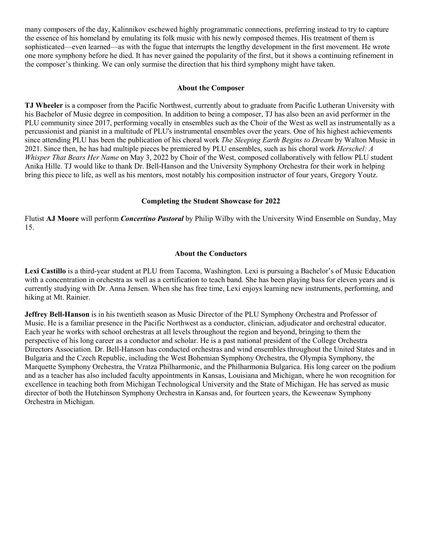many composers of the day, Kalinnikov eschewed highly programmatic connections, preferring instead to try to capture the essence of his homeland by emulating its folk music with his newly composed themes. His treatment of them is sophisticated—even learned—as with the fugue that interrupts the lengthy development in the first movement. He wrote one more symphony before he died. It has never gained the popularity of the first, but it shows a continuing refinement in the composer's thinking. We can only surmise the direction that his third symphony might have taken.

#### **About the Composer**

**TJ Wheeler** is a composer from the Pacific Northwest, currently about to graduate from Pacific Lutheran University with his Bachelor of Music degree in composition. In addition to being a composer, TJ has also been an avid performer in the PLU community since 2017, performing vocally in ensembles such as the Choir of the West as well as instrumentally as a percussionist and pianist in a multitude of PLU's instrumental ensembles over the years. One of his highest achievements since attending PLU has been the publication of his choral work *The Sleeping Earth Begins to Dream* by Walton Music in 2021. Since then, he has had multiple pieces be premiered by PLU ensembles, such as his choral work *Herschel: A Whisper That Bears Her Name* on May 3, 2022 by Choir of the West, composed collaboratively with fellow PLU student Anika Hille. TJ would like to thank Dr. Bell-Hanson and the University Symphony Orchestra for their work in helping bring this piece to life, as well as his mentors, most notably his composition instructor of four years, Gregory Youtz.

#### **Completing the Student Showcase for 2022**

Flutist **AJ Moore** will perform *Concertino Pastoral* by Philip Wilby with the University Wind Ensemble on Sunday, May 15.

#### **About the Conductors**

**Lexi Castillo** is a third-year student at PLU from Tacoma, Washington. Lexi is pursuing a Bachelor's of Music Education with a concentration in orchestra as well as a certification to teach band. She has been playing bass for eleven years and is currently studying with Dr. Anna Jensen. When she has free time, Lexi enjoys learning new instruments, performing, and hiking at Mt. Rainier.

**Jeffrey Bell-Hanson** is in his twentieth season as Music Director of the PLU Symphony Orchestra and Professor of Music. He is a familiar presence in the Pacific Northwest as a conductor, clinician, adjudicator and orchestral educator. Each year he works with school orchestras at all levels throughout the region and beyond, bringing to them the perspective of his long career as a conductor and scholar. He is a past national president of the College Orchestra Directors Association. Dr. Bell-Hanson has conducted orchestras and wind ensembles throughout the United States and in Bulgaria and the Czech Republic, including the West Bohemian Symphony Orchestra, the Olympia Symphony, the Marquette Symphony Orchestra, the Vratza Philharmonic, and the Philharmonia Bulgarica. His long career on the podium and as a teacher has also included faculty appointments in Kansas, Louisiana and Michigan, where he won recognition for excellence in teaching both from Michigan Technological University and the State of Michigan. He has served as music director of both the Hutchinson Symphony Orchestra in Kansas and, for fourteen years, the Keweenaw Symphony Orchestra in Michigan.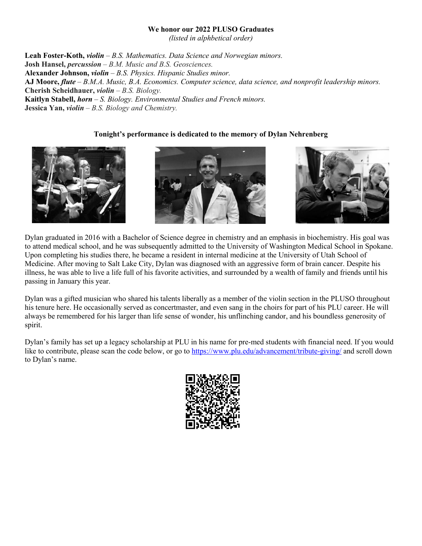#### **We honor our 2022 PLUSO Graduates**

*(listed in alphbetical order)* 

**Leah Foster-Koth,** *violin – B.S. Mathematics. Data Science and Norwegian minors.* **Josh Hansel,** *percussion* – *B.M. Music and B.S. Geosciences.* **Alexander Johnson,** *violin* – *B.S. Physics. Hispanic Studies minor.* **AJ Moore,** *flute* – *B.M.A. Music, B.A. Economics. Computer science, data science, and nonprofit leadership minors.*  **Cherish Scheidhauer,** *violin* – *B.S. Biology.* **Kaitlyn Stabell,** *horn* – *S. Biology. Environmental Studies and French minors.* **Jessica Yan,** *violin* – *B.S. Biology and Chemistry.* 

#### **Tonight's performance is dedicated to the memory of Dylan Nehrenberg**







Dylan graduated in 2016 with a Bachelor of Science degree in chemistry and an emphasis in biochemistry. His goal was to attend medical school, and he was subsequently admitted to the University of Washington Medical School in Spokane. Upon completing his studies there, he became a resident in internal medicine at the University of Utah School of Medicine. After moving to Salt Lake City, Dylan was diagnosed with an aggressive form of brain cancer. Despite his illness, he was able to live a life full of his favorite activities, and surrounded by a wealth of family and friends until his passing in January this year.

Dylan was a gifted musician who shared his talents liberally as a member of the violin section in the PLUSO throughout his tenure here. He occasionally served as concertmaster, and even sang in the choirs for part of his PLU career. He will always be remembered for his larger than life sense of wonder, his unflinching candor, and his boundless generosity of spirit.

Dylan's family has set up a legacy scholarship at PLU in his name for pre-med students with financial need. If you would like to contribute, please scan the code below, or go to<https://www.plu.edu/advancement/tribute-giving/> and scroll down to Dylan's name.